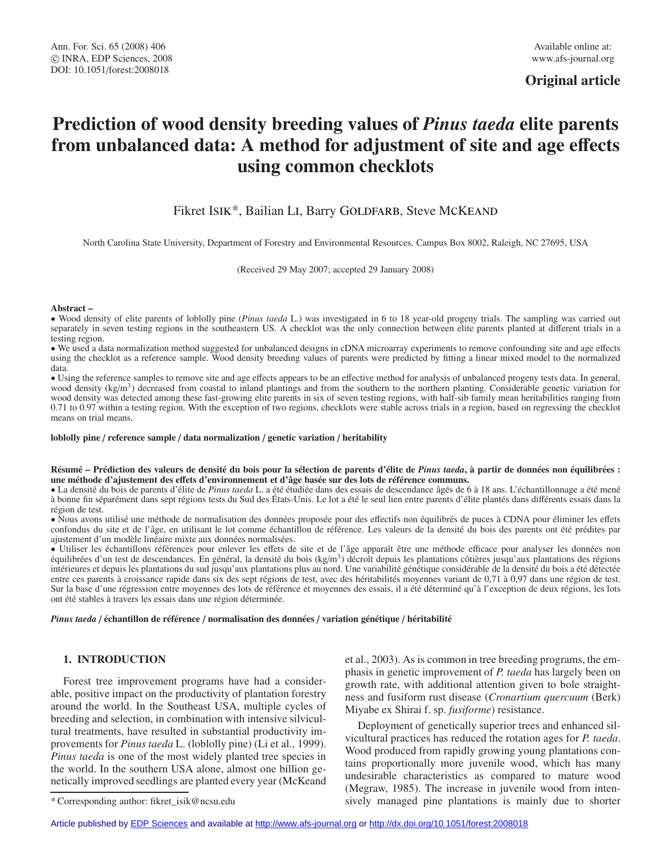**Original article**

# **Prediction of wood density breeding values of** *Pinus taeda* **elite parents from unbalanced data: A method for adjustment of site and age e**ff**ects using common checklots**

Fikret ISIK\*, Bailian LI, Barry GOLDFARB, Steve MCKEAND

North Carolina State University, Department of Forestry and Environmental Resources, Campus Box 8002, Raleigh, NC 27695, USA

(Received 29 May 2007; accepted 29 January 2008)

## **Abstract –**

• Wood density of elite parents of loblolly pine (*Pinus taeda* L.) was investigated in 6 to 18 year-old progeny trials. The sampling was carried out separately in seven testing regions in the southeastern US. A checklot was the only connection between elite parents planted at different trials in a testing region.

• We used a data normalization method suggested for unbalanced designs in cDNA microarray experiments to remove confounding site and age effects<br>using the checklot as a reference sample. Wood density breeding values of par data.

• Using the reference samples to remove site and age effects appears to be an effective method for analysis of unbalanced progeny tests data. In general, wood density  $(kg/m^3)$  decreased from coastal to inland plantings and from the southern to the northern planting. Considerable genetic variation for wood density was detected among these fast-growing elite parents in six of seven testing regions, with half-sib family mean heritabilities ranging from 0.71 to 0.97 within a testing region. With the exception of two regions, checklots were stable across trials in a region, based on regressing the checklot means on trial means.

#### **loblolly pine** / **reference sample** / **data normalization** / **genetic variation** / **heritability**

**Résumé – Prédiction des valeurs de densité du bois pour la sélection de parents d'élite de** *Pinus taeda***, à partir de données non équilibrées : une méthode d'ajustement des e**ff**ets d'environnement et d'âge basée sur des lots de référence communs.**

• La densité du bois de parents d'élite de *Pinus taeda* L. a été étudiée dans des essais de descendance âgés de 6 à 18 ans. L'échantillonnage a été mené à bonne fin séparément dans sept régions tests du Sud des États-Unis. Le lot a été le seul lien entre parents d'élite plantés dans différents essais dans la région de test.

• Nous avons utilisé une méthode de normalisation des données proposée pour des effectifs non équilibrés de puces à CDNA pour éliminer les effets confondus du site et de l'âge, en utilisant le lot comme échantillon de référence. Les valeurs de la densité du bois des parents ont été prédites par ajustement d'un modèle linéaire mixte aux données normalisées.

• Utiliser les échantillons références pour enlever les effets de site et de l'âge apparaît être une méthode efficace pour analyser les données non équilibrées d'un test de descendances. En général, la densité du bois (kg/m<sup>3</sup>) décroît depuis les plantations côtières jusqu'aux plantations des régions intérieures et depuis les plantations du sud jusqu'aux plantations plus au nord. Une variabilité génétique considérable de la densité du bois a été détectée entre ces parents à croissance rapide dans six des sept régions de test, avec des héritabilités moyennes variant de 0,71 à 0,97 dans une région de test. Sur la base d'une régression entre moyennes des lots de référence et moyennes des essais, il a été déterminé qu'à l'exception de deux régions, les lots ont été stables à travers les essais dans une région déterminée.

*Pinus taeda* / **échantillon de référence** / **normalisation des données** / **variation génétique** / **héritabilité**

# **1. INTRODUCTION**

Forest tree improvement programs have had a considerable, positive impact on the productivity of plantation forestry around the world. In the Southeast USA, multiple cycles of breeding and selection, in combination with intensive silvicultural treatments, have resulted in substantial productivity improvements for *Pinus taeda* L. (loblolly pine) (Li et al., 1999). *Pinus taeda* is one of the most widely planted tree species in the world. In the southern USA alone, almost one billion genetically improved seedlings are planted every year (McKeand

et al., 2003). As is common in tree breeding programs, the emphasis in genetic improvement of *P. taeda* has largely been on growth rate, with additional attention given to bole straightness and fusiform rust disease (*Cronartium quercuum* (Berk) Miyabe ex Shirai f. sp. *fusiforme*) resistance.

Deployment of genetically superior trees and enhanced silvicultural practices has reduced the rotation ages for *P. taeda*. Wood produced from rapidly growing young plantations contains proportionally more juvenile wood, which has many undesirable characteristics as compared to mature wood (Megraw, 1985). The increase in juvenile wood from intensively managed pine plantations is mainly due to shorter

<sup>\*</sup> Corresponding author: fikret\_isik@ncsu.edu

Article published by [EDP Sciences](http://www.edpsciences.org) and available at <http://www.afs-journal.org> or <http://dx.doi.org/10.1051/forest:2008018>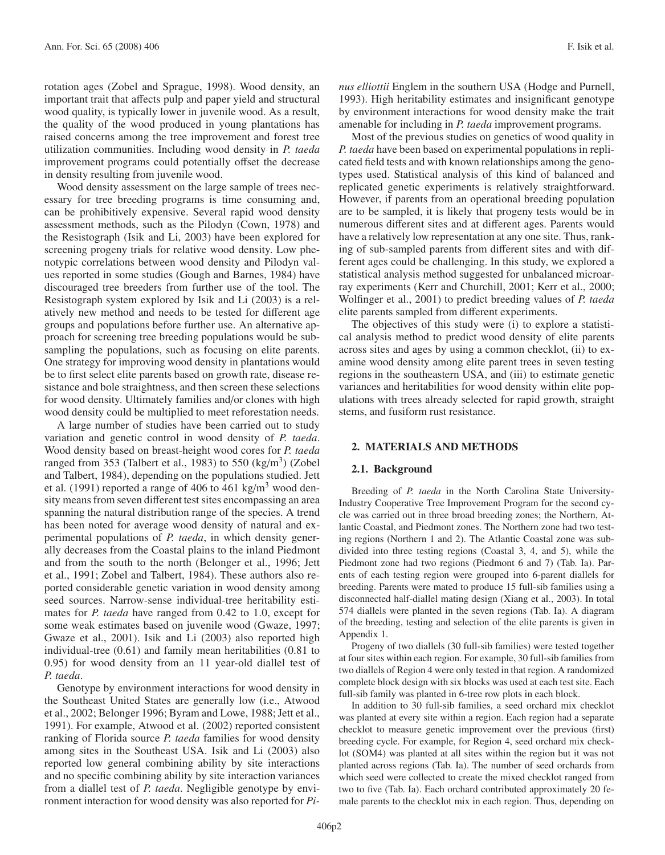rotation ages (Zobel and Sprague, 1998). Wood density, an important trait that affects pulp and paper yield and structural wood quality, is typically lower in juvenile wood. As a result, the quality of the wood produced in young plantations has raised concerns among the tree improvement and forest tree utilization communities. Including wood density in *P. taeda* improvement programs could potentially offset the decrease in density resulting from juvenile wood.

Wood density assessment on the large sample of trees necessary for tree breeding programs is time consuming and, can be prohibitively expensive. Several rapid wood density assessment methods, such as the Pilodyn (Cown, 1978) and the Resistograph (Isik and Li, 2003) have been explored for screening progeny trials for relative wood density. Low phenotypic correlations between wood density and Pilodyn values reported in some studies (Gough and Barnes, 1984) have discouraged tree breeders from further use of the tool. The Resistograph system explored by Isik and Li (2003) is a relatively new method and needs to be tested for different age groups and populations before further use. An alternative approach for screening tree breeding populations would be subsampling the populations, such as focusing on elite parents. One strategy for improving wood density in plantations would be to first select elite parents based on growth rate, disease resistance and bole straightness, and then screen these selections for wood density. Ultimately families and/or clones with high wood density could be multiplied to meet reforestation needs.

A large number of studies have been carried out to study variation and genetic control in wood density of *P. taeda*. Wood density based on breast-height wood cores for *P. taeda* ranged from 353 (Talbert et al., 1983) to 550  $(kg/m<sup>3</sup>)$  (Zobel and Talbert, 1984), depending on the populations studied. Jett et al. (1991) reported a range of 406 to 461 kg/m<sup>3</sup> wood density means from seven different test sites encompassing an area spanning the natural distribution range of the species. A trend has been noted for average wood density of natural and experimental populations of *P. taeda*, in which density generally decreases from the Coastal plains to the inland Piedmont and from the south to the north (Belonger et al., 1996; Jett et al., 1991; Zobel and Talbert, 1984). These authors also reported considerable genetic variation in wood density among seed sources. Narrow-sense individual-tree heritability estimates for *P. taeda* have ranged from 0.42 to 1.0, except for some weak estimates based on juvenile wood (Gwaze, 1997; Gwaze et al., 2001). Isik and Li (2003) also reported high individual-tree (0.61) and family mean heritabilities (0.81 to 0.95) for wood density from an 11 year-old diallel test of *P. taeda*.

Genotype by environment interactions for wood density in the Southeast United States are generally low (i.e., Atwood et al., 2002; Belonger 1996; Byram and Lowe, 1988; Jett et al., 1991). For example, Atwood et al. (2002) reported consistent ranking of Florida source *P. taeda* families for wood density among sites in the Southeast USA. Isik and Li (2003) also reported low general combining ability by site interactions and no specific combining ability by site interaction variances from a diallel test of *P. taeda*. Negligible genotype by environment interaction for wood density was also reported for *Pi-* *nus elliottii* Englem in the southern USA (Hodge and Purnell, 1993). High heritability estimates and insignificant genotype by environment interactions for wood density make the trait amenable for including in *P. taeda* improvement programs.

Most of the previous studies on genetics of wood quality in *P. taeda* have been based on experimental populations in replicated field tests and with known relationships among the genotypes used. Statistical analysis of this kind of balanced and replicated genetic experiments is relatively straightforward. However, if parents from an operational breeding population are to be sampled, it is likely that progeny tests would be in numerous different sites and at different ages. Parents would have a relatively low representation at any one site. Thus, ranking of sub-sampled parents from different sites and with different ages could be challenging. In this study, we explored a statistical analysis method suggested for unbalanced microarray experiments (Kerr and Churchill, 2001; Kerr et al., 2000; Wolfinger et al., 2001) to predict breeding values of *P. taeda* elite parents sampled from different experiments.

The objectives of this study were (i) to explore a statistical analysis method to predict wood density of elite parents across sites and ages by using a common checklot, (ii) to examine wood density among elite parent trees in seven testing regions in the southeastern USA, and (iii) to estimate genetic variances and heritabilities for wood density within elite populations with trees already selected for rapid growth, straight stems, and fusiform rust resistance.

# **2. MATERIALS AND METHODS**

## **2.1. Background**

Breeding of *P. taeda* in the North Carolina State University-Industry Cooperative Tree Improvement Program for the second cycle was carried out in three broad breeding zones; the Northern, Atlantic Coastal, and Piedmont zones. The Northern zone had two testing regions (Northern 1 and 2). The Atlantic Coastal zone was subdivided into three testing regions (Coastal 3, 4, and 5), while the Piedmont zone had two regions (Piedmont 6 and 7) (Tab. Ia). Parents of each testing region were grouped into 6-parent diallels for breeding. Parents were mated to produce 15 full-sib families using a disconnected half-diallel mating design (Xiang et al., 2003). In total 574 diallels were planted in the seven regions (Tab. Ia). A diagram of the breeding, testing and selection of the elite parents is given in Appendix 1.

Progeny of two diallels (30 full-sib families) were tested together at four sites within each region. For example, 30 full-sib families from two diallels of Region 4 were only tested in that region. A randomized complete block design with six blocks was used at each test site. Each full-sib family was planted in 6-tree row plots in each block.

In addition to 30 full-sib families, a seed orchard mix checklot was planted at every site within a region. Each region had a separate checklot to measure genetic improvement over the previous (first) breeding cycle. For example, for Region 4, seed orchard mix checklot (SOM4) was planted at all sites within the region but it was not planted across regions (Tab. Ia). The number of seed orchards from which seed were collected to create the mixed checklot ranged from two to five (Tab. Ia). Each orchard contributed approximately 20 female parents to the checklot mix in each region. Thus, depending on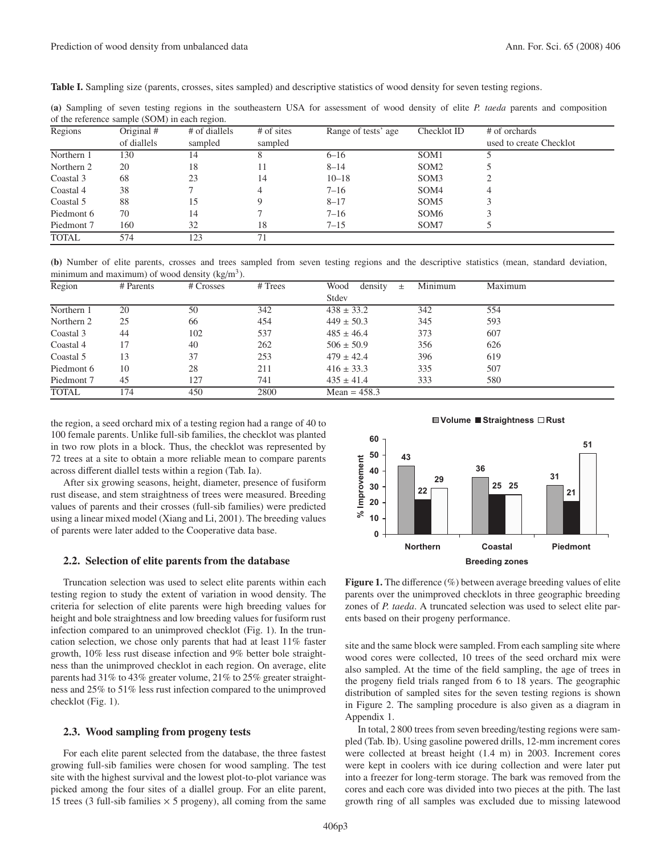**Table I.** Sampling size (parents, crosses, sites sampled) and descriptive statistics of wood density for seven testing regions.

**(a)** Sampling of seven testing regions in the southeastern USA for assessment of wood density of elite *P. taeda* parents and composition of the reference sample (SOM) in each region.

| Regions      | Original #  | # of diallels | # of sites | Range of tests' age | Checklot ID      | # of orchards           |  |
|--------------|-------------|---------------|------------|---------------------|------------------|-------------------------|--|
|              | of diallels | sampled       | sampled    |                     |                  | used to create Checklot |  |
| Northern 1   | 130         | 14            |            | $6 - 16$            | SOM <sub>1</sub> |                         |  |
| Northern 2   | 20          | 18            | 11         | $8 - 14$            | SOM <sub>2</sub> |                         |  |
| Coastal 3    | 68          | 23            | 14         | $10 - 18$           | SOM3             |                         |  |
| Coastal 4    | 38          |               | 4          | $7 - 16$            | SOM4             |                         |  |
| Coastal 5    | 88          | 15            |            | $8 - 17$            | SOM <sub>5</sub> |                         |  |
| Piedmont 6   | 70          | 14            |            | $7 - 16$            | SOM <sub>6</sub> |                         |  |
| Piedmont 7   | 160         | 32            | 18         | $7 - 15$            | SOM7             |                         |  |
| <b>TOTAL</b> | 574         | 123           | 71         |                     |                  |                         |  |

**(b)** Number of elite parents, crosses and trees sampled from seven testing regions and the descriptive statistics (mean, standard deviation, minimum and maximum) of wood density  $(kg/m<sup>3</sup>)$ .

| Region       | # Parents | # Crosses | # Trees | Wood<br>density | Minimum<br>$\pm$ | Maximum |  |
|--------------|-----------|-----------|---------|-----------------|------------------|---------|--|
|              |           |           |         | Stdev           |                  |         |  |
| Northern 1   | 20        | 50        | 342     | $438 \pm 33.2$  | 342              | 554     |  |
| Northern 2   | 25        | 66        | 454     | $449 \pm 50.3$  | 345              | 593     |  |
| Coastal 3    | 44        | 102       | 537     | $485 \pm 46.4$  | 373              | 607     |  |
| Coastal 4    | 17        | 40        | 262     | $506 \pm 50.9$  | 356              | 626     |  |
| Coastal 5    | 13        | 37        | 253     | $479 \pm 42.4$  | 396              | 619     |  |
| Piedmont 6   | 10        | 28        | 211     | $416 \pm 33.3$  | 335              | 507     |  |
| Piedmont 7   | 45        | 127       | 741     | $435 \pm 41.4$  | 333              | 580     |  |
| <b>TOTAL</b> | 174       | 450       | 2800    | Mean = $458.3$  |                  |         |  |

the region, a seed orchard mix of a testing region had a range of 40 to 100 female parents. Unlike full-sib families, the checklot was planted in two row plots in a block. Thus, the checklot was represented by 72 trees at a site to obtain a more reliable mean to compare parents across different diallel tests within a region (Tab. Ia).

After six growing seasons, height, diameter, presence of fusiform rust disease, and stem straightness of trees were measured. Breeding values of parents and their crosses (full-sib families) were predicted using a linear mixed model (Xiang and Li, 2001). The breeding values of parents were later added to the Cooperative data base.

## **2.2. Selection of elite parents from the database**

Truncation selection was used to select elite parents within each testing region to study the extent of variation in wood density. The criteria for selection of elite parents were high breeding values for height and bole straightness and low breeding values for fusiform rust infection compared to an unimproved checklot (Fig. 1). In the truncation selection, we chose only parents that had at least 11% faster growth, 10% less rust disease infection and 9% better bole straightness than the unimproved checklot in each region. On average, elite parents had 31% to 43% greater volume, 21% to 25% greater straightness and 25% to 51% less rust infection compared to the unimproved checklot (Fig. 1).

# **2.3. Wood sampling from progeny tests**

For each elite parent selected from the database, the three fastest growing full-sib families were chosen for wood sampling. The test site with the highest survival and the lowest plot-to-plot variance was picked among the four sites of a diallel group. For an elite parent, 15 trees (3 full-sib families  $\times$  5 progeny), all coming from the same

■ Volume ■ Straightness □ Rust



Figure 1. The difference (%) between average breeding values of elite parents over the unimproved checklots in three geographic breeding zones of *P. taeda*. A truncated selection was used to select elite parents based on their progeny performance.

site and the same block were sampled. From each sampling site where wood cores were collected, 10 trees of the seed orchard mix were also sampled. At the time of the field sampling, the age of trees in the progeny field trials ranged from 6 to 18 years. The geographic distribution of sampled sites for the seven testing regions is shown in Figure 2. The sampling procedure is also given as a diagram in Appendix 1.

In total, 2 800 trees from seven breeding/testing regions were sampled (Tab. Ib). Using gasoline powered drills, 12-mm increment cores were collected at breast height (1.4 m) in 2003. Increment cores were kept in coolers with ice during collection and were later put into a freezer for long-term storage. The bark was removed from the cores and each core was divided into two pieces at the pith. The last growth ring of all samples was excluded due to missing latewood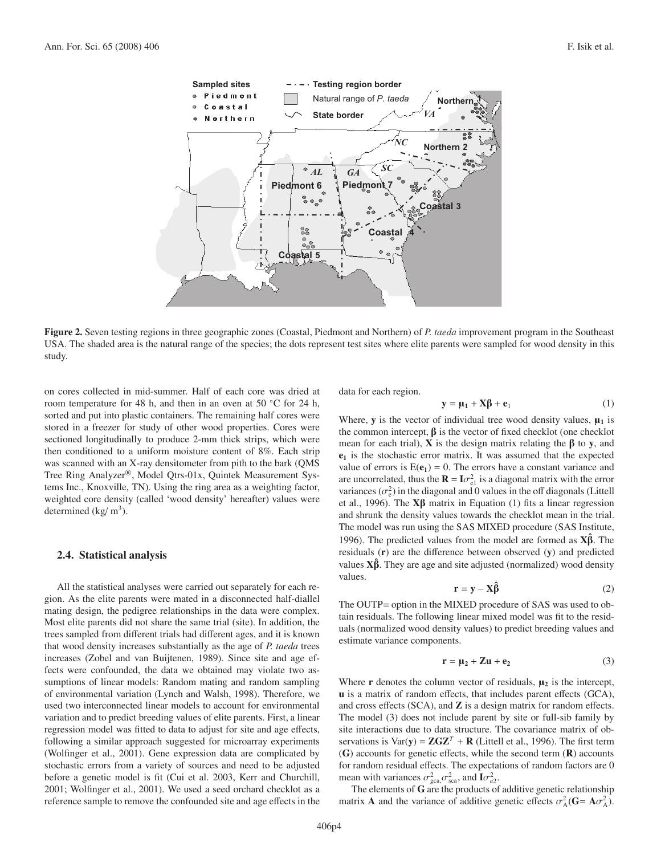

**Figure 2.** Seven testing regions in three geographic zones (Coastal, Piedmont and Northern) of *P. taeda* improvement program in the Southeast USA. The shaded area is the natural range of the species; the dots represent test sites where elite parents were sampled for wood density in this study.

on cores collected in mid-summer. Half of each core was dried at room temperature for 48 h, and then in an oven at 50 ◦C for 24 h, sorted and put into plastic containers. The remaining half cores were stored in a freezer for study of other wood properties. Cores were sectioned longitudinally to produce 2-mm thick strips, which were then conditioned to a uniform moisture content of 8%. Each strip was scanned with an X-ray densitometer from pith to the bark (QMS Tree Ring Analyzer®, Model Qtrs-01x, Quintek Measurement Systems Inc., Knoxville, TN). Using the ring area as a weighting factor, weighted core density (called 'wood density' hereafter) values were determined  $(kg/m<sup>3</sup>)$ .

## **2.4. Statistical analysis**

All the statistical analyses were carried out separately for each region. As the elite parents were mated in a disconnected half-diallel mating design, the pedigree relationships in the data were complex. Most elite parents did not share the same trial (site). In addition, the trees sampled from different trials had different ages, and it is known that wood density increases substantially as the age of *P. taeda* trees increases (Zobel and van Buijtenen, 1989). Since site and age effects were confounded, the data we obtained may violate two assumptions of linear models: Random mating and random sampling of environmental variation (Lynch and Walsh, 1998). Therefore, we used two interconnected linear models to account for environmental variation and to predict breeding values of elite parents. First, a linear regression model was fitted to data to adjust for site and age effects, following a similar approach suggested for microarray experiments (Wolfinger et al., 2001). Gene expression data are complicated by stochastic errors from a variety of sources and need to be adjusted before a genetic model is fit (Cui et al. 2003, Kerr and Churchill, 2001; Wolfinger et al., 2001). We used a seed orchard checklot as a reference sample to remove the confounded site and age effects in the data for each region.

$$
\mathbf{y} = \mathbf{\mu}_1 + \mathbf{X}\boldsymbol{\beta} + \mathbf{e}_1 \tag{1}
$$

Where, **y** is the vector of individual tree wood density values,  $\mu_1$  is the common intercept,  $\beta$  is the vector of fixed checklot (one checklot mean for each trial), **X** is the design matrix relating the β to **y**, and **e1** is the stochastic error matrix. It was assumed that the expected value of errors is  $E(e_1) = 0$ . The errors have a constant variance and are uncorrelated, thus the  $\mathbf{R} = I \sigma_{el}^2$  is a diagonal matrix with the error variances  $(\sigma_e^2)$  in the diagonal and 0 values in the off diagonals (Littell et al., 1996). The **X**β matrix in Equation (1) fits a linear regression and shrunk the density values towards the checklot mean in the trial. The model was run using the SAS MIXED procedure (SAS Institute, 1996). The predicted values from the model are formed as **X**β**ˆ**. The residuals (**r**) are the difference between observed (**y**) and predicted values **X**β**ˆ**. They are age and site adjusted (normalized) wood density values.

$$
\mathbf{r} = \mathbf{y} - \mathbf{X}\hat{\boldsymbol{\beta}}\tag{2}
$$

The OUTP= option in the MIXED procedure of SAS was used to obtain residuals. The following linear mixed model was fit to the residuals (normalized wood density values) to predict breeding values and estimate variance components.

$$
\mathbf{r} = \mathbf{\mu}_2 + \mathbf{Z}\mathbf{u} + \mathbf{e}_2 \tag{3}
$$

Where **r** denotes the column vector of residuals,  $\mu_2$  is the intercept, **u** is a matrix of random effects, that includes parent effects (GCA), and cross effects (SCA), and **Z** is a design matrix for random effects. The model (3) does not include parent by site or full-sib family by site interactions due to data structure. The covariance matrix of observations is  $Var(y) = ZGZ^{T} + R$  (Littell et al., 1996). The first term (**G**) accounts for genetic effects, while the second term (**R**) accounts for random residual effects. The expectations of random factors are 0 mean with variances  $\sigma_{\text{gca}}^2 \sigma_{\text{sca}}^2$ , and  $I\sigma_{\text{e2}}^2$ .

The elements of **G** are the products of additive genetic relationship matrix **A** and the variance of additive genetic effects  $\sigma_A^2(\mathbf{G}=\mathbf{A}\sigma_A^2)$ .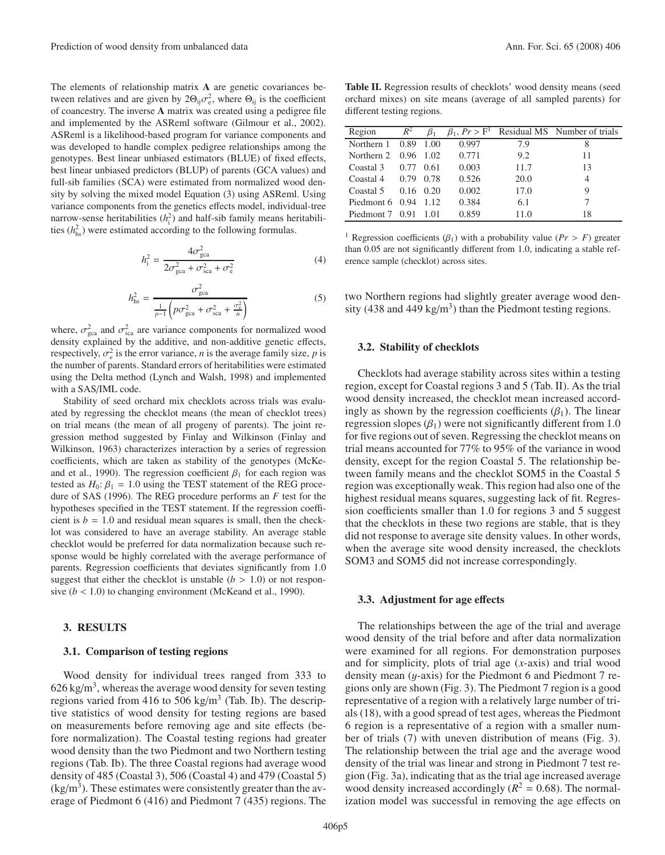The elements of relationship matrix **A** are genetic covariances between relatives and are given by  $2\Theta_{ij}\sigma_e^2$ , where  $\Theta_{ij}$  is the coefficient of coancestry. The inverse **A** matrix was created using a pedigree file and implemented by the ASReml software (Gilmour et al., 2002). ASReml is a likelihood-based program for variance components and was developed to handle complex pedigree relationships among the genotypes. Best linear unbiased estimators (BLUE) of fixed effects, best linear unbiased predictors (BLUP) of parents (GCA values) and full-sib families (SCA) were estimated from normalized wood density by solving the mixed model Equation (3) using ASReml. Using variance components from the genetics effects model, individual-tree narrow-sense heritabilities  $(h_i^2)$  and half-sib family means heritabilities  $(h_{\text{hs}}^2)$  were estimated according to the following formulas.

$$
h_{\rm i}^2 = \frac{4\sigma_{\rm gca}^2}{2\sigma_{\rm gca}^2 + \sigma_{\rm sca}^2 + \sigma_{\rm e}^2}
$$
 (4)

$$
h_{\text{hs}}^2 = \frac{\sigma_{\text{gca}}^2}{\frac{1}{p-1} \left( p \sigma_{\text{gca}}^2 + \sigma_{\text{scat}}^2 + \frac{\sigma_{\text{e}}^2}{n} \right)}
$$
(5)

where,  $\sigma_{\text{gca}}^2$  and  $\sigma_{\text{sca}}^2$  are variance components for normalized wood density explained by the additive, and non-additive genetic effects, respectively,  $\sigma_e^2$  is the error variance, *n* is the average family size, *p* is the number of parents. Standard errors of heritabilities were estimated using the Delta method (Lynch and Walsh, 1998) and implemented with a SAS/IML code.

Stability of seed orchard mix checklots across trials was evaluated by regressing the checklot means (the mean of checklot trees) on trial means (the mean of all progeny of parents). The joint regression method suggested by Finlay and Wilkinson (Finlay and Wilkinson, 1963) characterizes interaction by a series of regression coefficients, which are taken as stability of the genotypes (McKeand et al., 1990). The regression coefficient  $\beta_1$  for each region was tested as  $H_0: \beta_1 = 1.0$  using the TEST statement of the REG procedure of SAS (1996). The REG procedure performs an *F* test for the hypotheses specified in the TEST statement. If the regression coefficient is  $b = 1.0$  and residual mean squares is small, then the checklot was considered to have an average stability. An average stable checklot would be preferred for data normalization because such response would be highly correlated with the average performance of parents. Regression coefficients that deviates significantly from 1.0 suggest that either the checklot is unstable  $(b > 1.0)$  or not responsive  $(b < 1.0)$  to changing environment (McKeand et al., 1990).

## **3. RESULTS**

#### **3.1. Comparison of testing regions**

Wood density for individual trees ranged from 333 to  $626 \text{ kg/m}^3$ , whereas the average wood density for seven testing regions varied from 416 to 506 kg/m<sup>3</sup> (Tab. Ib). The descriptive statistics of wood density for testing regions are based on measurements before removing age and site effects (before normalization). The Coastal testing regions had greater wood density than the two Piedmont and two Northern testing regions (Tab. Ib). The three Coastal regions had average wood density of 485 (Coastal 3), 506 (Coastal 4) and 479 (Coastal 5)  $(kg/m<sup>3</sup>)$ . These estimates were consistently greater than the average of Piedmont 6 (416) and Piedmont 7 (435) regions. The

**Table II.** Regression results of checklots' wood density means (seed orchard mixes) on site means (average of all sampled parents) for different testing regions.

| Region          | $R^2$ |                   |       |      | $\beta_1$ , $Pr > F^1$ Residual MS Number of trials |
|-----------------|-------|-------------------|-------|------|-----------------------------------------------------|
| Northern 1      | 0.89  | 1.00              | 0.997 | 7.9  |                                                     |
| Northern 2      |       | $0.96$ 1.02       | 0.771 | 9.2  | 11                                                  |
| Coastal 3       | 0.77  | 0.61              | 0.003 | 11.7 | 13                                                  |
| Coastal 4       | 0.79  | 0.78              | 0.526 | 20.0 |                                                     |
| Coastal 5       |       | $0.16 \quad 0.20$ | 0.002 | 17.0 | 9                                                   |
| Piedmont 6 0.94 |       | 1.12              | 0.384 | 6.1  |                                                     |
| Piedmont 7      | 0.91  | 1.01              | 0.859 | 11.0 |                                                     |

<sup>1</sup> Regression coefficients ( $\beta_1$ ) with a probability value ( $Pr > F$ ) greater than 0.05 are not significantly different from 1.0, indicating a stable reference sample (checklot) across sites.

two Northern regions had slightly greater average wood density (438 and 449 kg/m<sup>3</sup>) than the Piedmont testing regions.

## **3.2. Stability of checklots**

Checklots had average stability across sites within a testing region, except for Coastal regions 3 and 5 (Tab. II). As the trial wood density increased, the checklot mean increased accordingly as shown by the regression coefficients  $(\beta_1)$ . The linear regression slopes  $(\beta_1)$  were not significantly different from 1.0 for five regions out of seven. Regressing the checklot means on trial means accounted for 77% to 95% of the variance in wood density, except for the region Coastal 5. The relationship between family means and the checklot SOM5 in the Coastal 5 region was exceptionally weak. This region had also one of the highest residual means squares, suggesting lack of fit. Regression coefficients smaller than 1.0 for regions 3 and 5 suggest that the checklots in these two regions are stable, that is they did not response to average site density values. In other words, when the average site wood density increased, the checklots SOM3 and SOM5 did not increase correspondingly.

## **3.3. Adjustment for age e**ff**ects**

The relationships between the age of the trial and average wood density of the trial before and after data normalization were examined for all regions. For demonstration purposes and for simplicity, plots of trial age (*x*-axis) and trial wood density mean (y-axis) for the Piedmont 6 and Piedmont 7 regions only are shown (Fig. 3). The Piedmont 7 region is a good representative of a region with a relatively large number of trials (18), with a good spread of test ages, whereas the Piedmont 6 region is a representative of a region with a smaller number of trials (7) with uneven distribution of means (Fig. 3). The relationship between the trial age and the average wood density of the trial was linear and strong in Piedmont 7 test region (Fig. 3a), indicating that as the trial age increased average wood density increased accordingly  $(R^2 = 0.68)$ . The normalization model was successful in removing the age effects on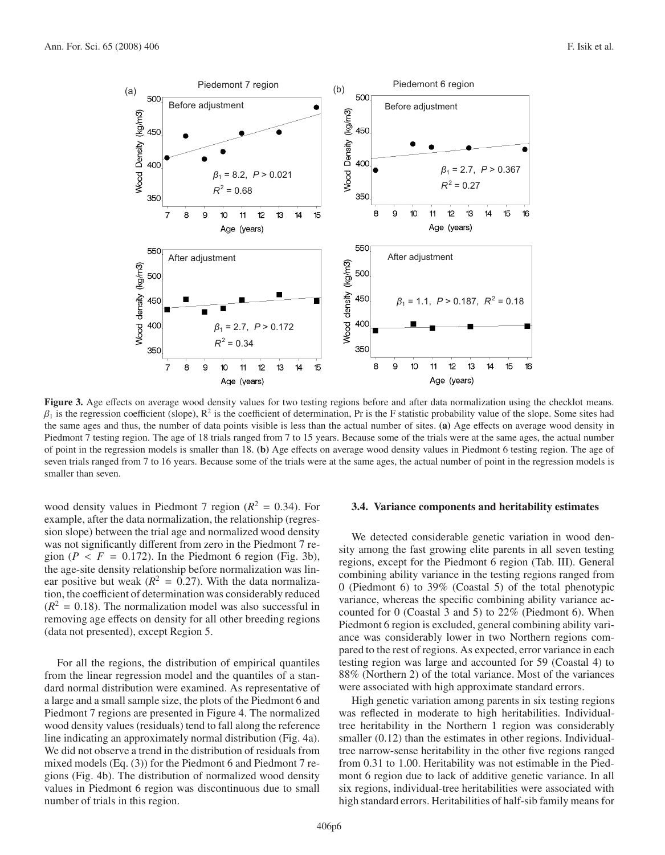

**Figure 3.** Age effects on average wood density values for two testing regions before and after data normalization using the checklot means.  $\beta_1$  is the regression coefficient (slope),  $\mathbb{R}^2$  is the coefficient of determination, Pr is the F statistic probability value of the slope. Some sites had the same ages and thus, the number of data points visible is less than the actual number of sites. **(a)** Age effects on average wood density in Piedmont 7 testing region. The age of 18 trials ranged from 7 to 15 years. Because some of the trials were at the same ages, the actual number of point in the regression models is smaller than 18. **(b)** Age effects on average wood density values in Piedmont 6 testing region. The age of seven trials ranged from 7 to 16 years. Because some of the trials were at the same ages, the actual number of point in the regression models is smaller than seven.

wood density values in Piedmont 7 region  $(R^2 = 0.34)$ . For example, after the data normalization, the relationship (regression slope) between the trial age and normalized wood density was not significantly different from zero in the Piedmont 7 region ( $P \lt F = 0.172$ ). In the Piedmont 6 region (Fig. 3b), the age-site density relationship before normalization was linear positive but weak ( $R^2 = 0.27$ ). With the data normalization, the coefficient of determination was considerably reduced  $(R^2 = 0.18)$ . The normalization model was also successful in removing age effects on density for all other breeding regions (data not presented), except Region 5.

For all the regions, the distribution of empirical quantiles from the linear regression model and the quantiles of a standard normal distribution were examined. As representative of a large and a small sample size, the plots of the Piedmont 6 and Piedmont 7 regions are presented in Figure 4. The normalized wood density values (residuals) tend to fall along the reference line indicating an approximately normal distribution (Fig. 4a). We did not observe a trend in the distribution of residuals from mixed models (Eq. (3)) for the Piedmont 6 and Piedmont 7 regions (Fig. 4b). The distribution of normalized wood density values in Piedmont 6 region was discontinuous due to small number of trials in this region.

#### **3.4. Variance components and heritability estimates**

We detected considerable genetic variation in wood density among the fast growing elite parents in all seven testing regions, except for the Piedmont 6 region (Tab. III). General combining ability variance in the testing regions ranged from 0 (Piedmont 6) to 39% (Coastal 5) of the total phenotypic variance, whereas the specific combining ability variance accounted for 0 (Coastal 3 and 5) to 22% (Piedmont 6). When Piedmont 6 region is excluded, general combining ability variance was considerably lower in two Northern regions compared to the rest of regions. As expected, error variance in each testing region was large and accounted for 59 (Coastal 4) to 88% (Northern 2) of the total variance. Most of the variances were associated with high approximate standard errors.

High genetic variation among parents in six testing regions was reflected in moderate to high heritabilities. Individualtree heritability in the Northern 1 region was considerably smaller  $(0.12)$  than the estimates in other regions. Individualtree narrow-sense heritability in the other five regions ranged from 0.31 to 1.00. Heritability was not estimable in the Piedmont 6 region due to lack of additive genetic variance. In all six regions, individual-tree heritabilities were associated with high standard errors. Heritabilities of half-sib family means for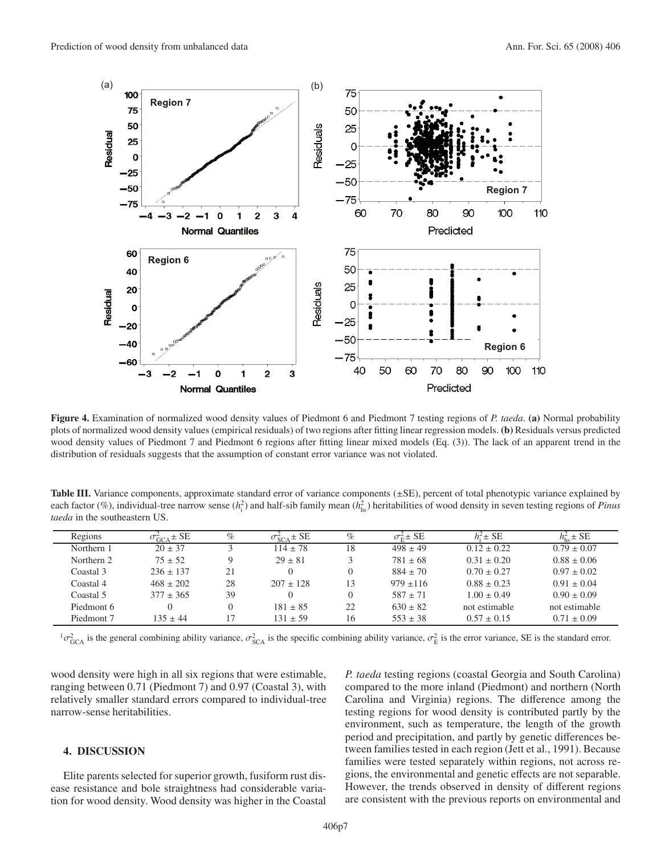

**Figure 4.** Examination of normalized wood density values of Piedmont 6 and Piedmont 7 testing regions of *P. taeda*. **(a)** Normal probability plots of normalized wood density values (empirical residuals) of two regions after fitting linear regression models. **(b)** Residuals versus predicted wood density values of Piedmont 7 and Piedmont 6 regions after fitting linear mixed models (Eq. (3)). The lack of an apparent trend in the distribution of residuals suggests that the assumption of constant error variance was not violated.

Table III. Variance components, approximate standard error of variance components ( $\pm$ SE), percent of total phenotypic variance explained by each factor (%), individual-tree narrow sense ( $h_i^2$ ) and half-sib family mean ( $h_{hs}$ ) heritabilities of wood density in seven testing regions of *Pinus taeda* in the southeastern US.

| Regions    | $\sigma_{\text{GCA}}^2 \pm \text{SE}$ | %  | $\sigma_{\text{SCA}}^2$ ± SE | %  | $\sigma_{\rm F}^2$ ± SE | $h^2$ + SE      | $h_{L}^2 \pm \text{SE}$ |
|------------|---------------------------------------|----|------------------------------|----|-------------------------|-----------------|-------------------------|
| Northern 1 | $20 \pm 37$                           |    | $114 \pm 78$                 | 18 | $498 \pm 49$            | $0.12 \pm 0.22$ | $0.79 \pm 0.07$         |
| Northern 2 | $75 + 52$                             |    | $29 \pm 81$                  |    | $781 \pm 68$            | $0.31 \pm 0.20$ | $0.88 \pm 0.06$         |
| Coastal 3  | $236 \pm 137$                         | 21 |                              |    | $884 \pm 70$            | $0.70 \pm 0.27$ | $0.97 \pm 0.02$         |
| Coastal 4  | $468 \pm 202$                         | 28 | $207 \pm 128$                | 13 | $979 \pm 116$           | $0.88 \pm 0.23$ | $0.91 \pm 0.04$         |
| Coastal 5  | $377 \pm 365$                         | 39 |                              |    | $587 + 71$              | $1.00 \pm 0.49$ | $0.90 \pm 0.09$         |
| Piedmont 6 |                                       |    | $181 \pm 85$                 | 22 | $630 \pm 82$            | not estimable   | not estimable           |
| Piedmont 7 | $135 \pm 44$                          |    | $131 \pm 59$                 | 16 | $553 \pm 38$            | $0.57 \pm 0.15$ | $0.71 \pm 0.09$         |

 ${}^{1}\sigma_{GCA}^{2}$  is the general combining ability variance,  $\sigma_{SCA}^{2}$  is the specific combining ability variance,  $\sigma_{E}^{2}$  is the error variance, SE is the standard error.

wood density were high in all six regions that were estimable, ranging between 0.71 (Piedmont 7) and 0.97 (Coastal 3), with relatively smaller standard errors compared to individual-tree narrow-sense heritabilities.

# **4. DISCUSSION**

Elite parents selected for superior growth, fusiform rust disease resistance and bole straightness had considerable variation for wood density. Wood density was higher in the Coastal *P. taeda* testing regions (coastal Georgia and South Carolina) compared to the more inland (Piedmont) and northern (North Carolina and Virginia) regions. The difference among the testing regions for wood density is contributed partly by the environment, such as temperature, the length of the growth period and precipitation, and partly by genetic differences between families tested in each region (Jett et al., 1991). Because families were tested separately within regions, not across regions, the environmental and genetic effects are not separable. However, the trends observed in density of different regions are consistent with the previous reports on environmental and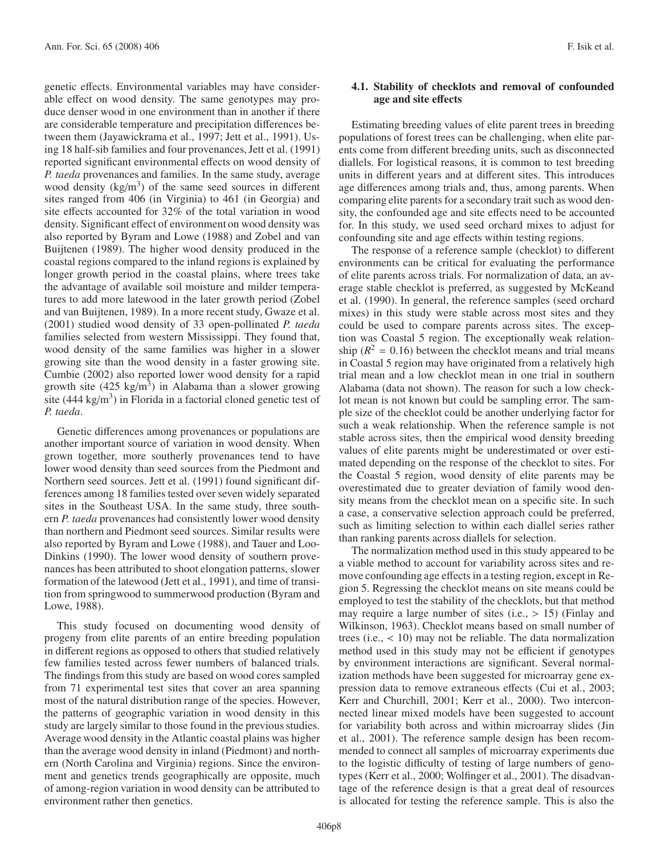genetic effects. Environmental variables may have considerable effect on wood density. The same genotypes may produce denser wood in one environment than in another if there are considerable temperature and precipitation differences between them (Jayawickrama et al., 1997; Jett et al., 1991). Using 18 half-sib families and four provenances, Jett et al. (1991) reported significant environmental effects on wood density of *P. taeda* provenances and families. In the same study, average wood density  $(kg/m<sup>3</sup>)$  of the same seed sources in different sites ranged from 406 (in Virginia) to 461 (in Georgia) and site effects accounted for 32% of the total variation in wood density. Significant effect of environment on wood density was also reported by Byram and Lowe (1988) and Zobel and van Buijtenen (1989). The higher wood density produced in the coastal regions compared to the inland regions is explained by longer growth period in the coastal plains, where trees take the advantage of available soil moisture and milder temperatures to add more latewood in the later growth period (Zobel and van Buijtenen, 1989). In a more recent study, Gwaze et al. (2001) studied wood density of 33 open-pollinated *P. taeda* families selected from western Mississippi. They found that, wood density of the same families was higher in a slower growing site than the wood density in a faster growing site. Cumbie (2002) also reported lower wood density for a rapid growth site  $(425 \text{ kg/m}^3)$  in Alabama than a slower growing site  $(444 \text{ kg/m}^3)$  in Florida in a factorial cloned genetic test of *P. taeda*.

Genetic differences among provenances or populations are another important source of variation in wood density. When grown together, more southerly provenances tend to have lower wood density than seed sources from the Piedmont and Northern seed sources. Jett et al. (1991) found significant differences among 18 families tested over seven widely separated sites in the Southeast USA. In the same study, three southern *P. taeda* provenances had consistently lower wood density than northern and Piedmont seed sources. Similar results were also reported by Byram and Lowe (1988), and Tauer and Loo-Dinkins (1990). The lower wood density of southern provenances has been attributed to shoot elongation patterns, slower formation of the latewood (Jett et al., 1991), and time of transition from springwood to summerwood production (Byram and Lowe, 1988).

This study focused on documenting wood density of progeny from elite parents of an entire breeding population in different regions as opposed to others that studied relatively few families tested across fewer numbers of balanced trials. The findings from this study are based on wood cores sampled from 71 experimental test sites that cover an area spanning most of the natural distribution range of the species. However, the patterns of geographic variation in wood density in this study are largely similar to those found in the previous studies. Average wood density in the Atlantic coastal plains was higher than the average wood density in inland (Piedmont) and northern (North Carolina and Virginia) regions. Since the environment and genetics trends geographically are opposite, much of among-region variation in wood density can be attributed to environment rather then genetics.

# **4.1. Stability of checklots and removal of confounded age and site e**ff**ects**

Estimating breeding values of elite parent trees in breeding populations of forest trees can be challenging, when elite parents come from different breeding units, such as disconnected diallels. For logistical reasons, it is common to test breeding units in different years and at different sites. This introduces age differences among trials and, thus, among parents. When comparing elite parents for a secondary trait such as wood density, the confounded age and site effects need to be accounted for. In this study, we used seed orchard mixes to adjust for confounding site and age effects within testing regions.

The response of a reference sample (checklot) to different environments can be critical for evaluating the performance of elite parents across trials. For normalization of data, an average stable checklot is preferred, as suggested by McKeand et al. (1990). In general, the reference samples (seed orchard mixes) in this study were stable across most sites and they could be used to compare parents across sites. The exception was Coastal 5 region. The exceptionally weak relationship  $(R^2 = 0.16)$  between the checklot means and trial means in Coastal 5 region may have originated from a relatively high trial mean and a low checklot mean in one trial in southern Alabama (data not shown). The reason for such a low checklot mean is not known but could be sampling error. The sample size of the checklot could be another underlying factor for such a weak relationship. When the reference sample is not stable across sites, then the empirical wood density breeding values of elite parents might be underestimated or over estimated depending on the response of the checklot to sites. For the Coastal 5 region, wood density of elite parents may be overestimated due to greater deviation of family wood density means from the checklot mean on a specific site. In such a case, a conservative selection approach could be preferred, such as limiting selection to within each diallel series rather than ranking parents across diallels for selection.

The normalization method used in this study appeared to be a viable method to account for variability across sites and remove confounding age effects in a testing region, except in Region 5. Regressing the checklot means on site means could be employed to test the stability of the checklots, but that method may require a large number of sites (i.e., > 15) (Finlay and Wilkinson, 1963). Checklot means based on small number of trees (i.e.,  $\langle 10 \rangle$  may not be reliable. The data normalization method used in this study may not be efficient if genotypes by environment interactions are significant. Several normalization methods have been suggested for microarray gene expression data to remove extraneous effects (Cui et al., 2003; Kerr and Churchill, 2001; Kerr et al., 2000). Two interconnected linear mixed models have been suggested to account for variability both across and within microarray slides (Jin et al., 2001). The reference sample design has been recommended to connect all samples of microarray experiments due to the logistic difficulty of testing of large numbers of genotypes (Kerr et al., 2000; Wolfinger et al., 2001). The disadvantage of the reference design is that a great deal of resources is allocated for testing the reference sample. This is also the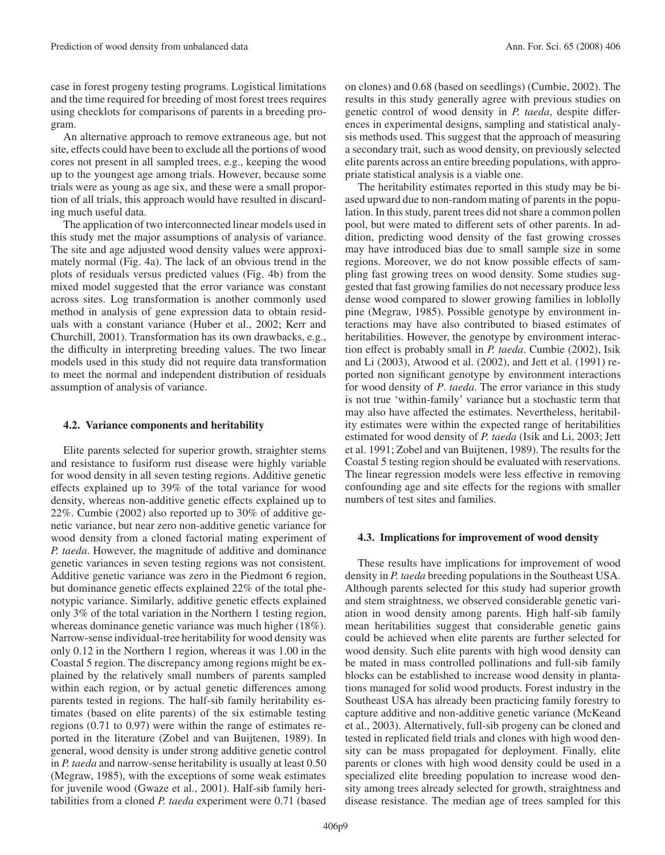case in forest progeny testing programs. Logistical limitations and the time required for breeding of most forest trees requires using checklots for comparisons of parents in a breeding program.

An alternative approach to remove extraneous age, but not site, effects could have been to exclude all the portions of wood cores not present in all sampled trees, e.g., keeping the wood up to the youngest age among trials. However, because some trials were as young as age six, and these were a small proportion of all trials, this approach would have resulted in discarding much useful data.

The application of two interconnected linear models used in this study met the major assumptions of analysis of variance. The site and age adjusted wood density values were approximately normal (Fig. 4a). The lack of an obvious trend in the plots of residuals versus predicted values (Fig. 4b) from the mixed model suggested that the error variance was constant across sites. Log transformation is another commonly used method in analysis of gene expression data to obtain residuals with a constant variance (Huber et al., 2002; Kerr and Churchill, 2001). Transformation has its own drawbacks, e.g., the difficulty in interpreting breeding values. The two linear models used in this study did not require data transformation to meet the normal and independent distribution of residuals assumption of analysis of variance.

# **4.2. Variance components and heritability**

Elite parents selected for superior growth, straighter stems and resistance to fusiform rust disease were highly variable for wood density in all seven testing regions. Additive genetic effects explained up to 39% of the total variance for wood density, whereas non-additive genetic effects explained up to 22%. Cumbie (2002) also reported up to 30% of additive genetic variance, but near zero non-additive genetic variance for wood density from a cloned factorial mating experiment of *P. taeda*. However, the magnitude of additive and dominance genetic variances in seven testing regions was not consistent. Additive genetic variance was zero in the Piedmont 6 region, but dominance genetic effects explained 22% of the total phenotypic variance. Similarly, additive genetic effects explained only 3% of the total variation in the Northern 1 testing region, whereas dominance genetic variance was much higher (18%). Narrow-sense individual-tree heritability for wood density was only 0.12 in the Northern 1 region, whereas it was 1.00 in the Coastal 5 region. The discrepancy among regions might be explained by the relatively small numbers of parents sampled within each region, or by actual genetic differences among parents tested in regions. The half-sib family heritability estimates (based on elite parents) of the six estimable testing regions (0.71 to 0.97) were within the range of estimates reported in the literature (Zobel and van Buijtenen, 1989). In general, wood density is under strong additive genetic control in *P. taeda* and narrow-sense heritability is usually at least 0.50 (Megraw, 1985), with the exceptions of some weak estimates for juvenile wood (Gwaze et al., 2001). Half-sib family heritabilities from a cloned *P. taeda* experiment were 0.71 (based

on clones) and 0.68 (based on seedlings) (Cumbie, 2002). The results in this study generally agree with previous studies on genetic control of wood density in *P. taeda*, despite differences in experimental designs, sampling and statistical analysis methods used. This suggest that the approach of measuring a secondary trait, such as wood density, on previously selected elite parents across an entire breeding populations, with appropriate statistical analysis is a viable one.

The heritability estimates reported in this study may be biased upward due to non-random mating of parents in the population. In this study, parent trees did not share a common pollen pool, but were mated to different sets of other parents. In addition, predicting wood density of the fast growing crosses may have introduced bias due to small sample size in some regions. Moreover, we do not know possible effects of sampling fast growing trees on wood density. Some studies suggested that fast growing families do not necessary produce less dense wood compared to slower growing families in loblolly pine (Megraw, 1985). Possible genotype by environment interactions may have also contributed to biased estimates of heritabilities. However, the genotype by environment interaction effect is probably small in *P. taeda*. Cumbie (2002), Isik and Li (2003), Atwood et al. (2002), and Jett et al. (1991) reported non significant genotype by environment interactions for wood density of *P*. *taeda*. The error variance in this study is not true 'within-family' variance but a stochastic term that may also have affected the estimates. Nevertheless, heritability estimates were within the expected range of heritabilities estimated for wood density of *P. taeda* (Isik and Li, 2003; Jett et al. 1991; Zobel and van Buijtenen, 1989). The results for the Coastal 5 testing region should be evaluated with reservations. The linear regression models were less effective in removing confounding age and site effects for the regions with smaller numbers of test sites and families.

# **4.3. Implications for improvement of wood density**

These results have implications for improvement of wood density in *P. taeda* breeding populations in the Southeast USA. Although parents selected for this study had superior growth and stem straightness, we observed considerable genetic variation in wood density among parents. High half-sib family mean heritabilities suggest that considerable genetic gains could be achieved when elite parents are further selected for wood density. Such elite parents with high wood density can be mated in mass controlled pollinations and full-sib family blocks can be established to increase wood density in plantations managed for solid wood products. Forest industry in the Southeast USA has already been practicing family forestry to capture additive and non-additive genetic variance (McKeand et al., 2003). Alternatively, full-sib progeny can be cloned and tested in replicated field trials and clones with high wood density can be mass propagated for deployment. Finally, elite parents or clones with high wood density could be used in a specialized elite breeding population to increase wood density among trees already selected for growth, straightness and disease resistance. The median age of trees sampled for this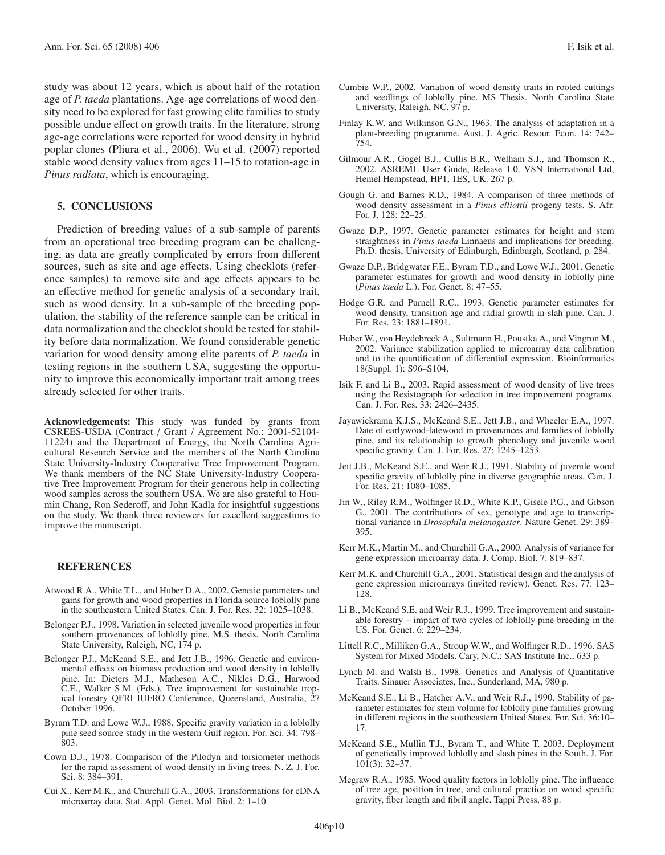study was about 12 years, which is about half of the rotation age of *P. taeda* plantations. Age-age correlations of wood density need to be explored for fast growing elite families to study possible undue effect on growth traits. In the literature, strong age-age correlations were reported for wood density in hybrid poplar clones (Pliura et al., 2006). Wu et al. (2007) reported stable wood density values from ages 11–15 to rotation-age in *Pinus radiata*, which is encouraging.

# **5. CONCLUSIONS**

Prediction of breeding values of a sub-sample of parents from an operational tree breeding program can be challenging, as data are greatly complicated by errors from different sources, such as site and age effects. Using checklots (reference samples) to remove site and age effects appears to be an effective method for genetic analysis of a secondary trait, such as wood density. In a sub-sample of the breeding population, the stability of the reference sample can be critical in data normalization and the checklot should be tested for stability before data normalization. We found considerable genetic variation for wood density among elite parents of *P. taeda* in testing regions in the southern USA, suggesting the opportunity to improve this economically important trait among trees already selected for other traits.

**Acknowledgements:** This study was funded by grants from CSREES-USDA (Contract / Grant / Agreement No.: 2001-52104- 11224) and the Department of Energy, the North Carolina Agricultural Research Service and the members of the North Carolina State University-Industry Cooperative Tree Improvement Program. We thank members of the NC State University-Industry Cooperative Tree Improvement Program for their generous help in collecting wood samples across the southern USA. We are also grateful to Houmin Chang, Ron Sederoff, and John Kadla for insightful suggestions on the study. We thank three reviewers for excellent suggestions to improve the manuscript.

## **REFERENCES**

- Atwood R.A., White T.L., and Huber D.A., 2002. Genetic parameters and gains for growth and wood properties in Florida source loblolly pine in the southeastern United States. Can. J. For. Res. 32: 1025–1038.
- Belonger P.J., 1998. Variation in selected juvenile wood properties in four southern provenances of loblolly pine. M.S. thesis, North Carolina State University, Raleigh, NC, 174 p.
- Belonger P.J., McKeand S.E., and Jett J.B., 1996. Genetic and environmental effects on biomass production and wood density in loblolly pine. In: Dieters M.J., Matheson A.C., Nikles D.G., Harwood C.E., Walker S.M. (Eds.), Tree improvement for sustainable tropical forestry QFRI IUFRO Conference, Queensland, Australia, 27 October 1996.
- Byram T.D. and Lowe W.J., 1988. Specific gravity variation in a loblolly pine seed source study in the western Gulf region. For. Sci. 34: 798– 803.
- Cown D.J., 1978. Comparison of the Pilodyn and torsiometer methods for the rapid assessment of wood density in living trees. N. Z. J. For. Sci. 8: 384–391.
- Cui X., Kerr M.K., and Churchill G.A., 2003. Transformations for cDNA microarray data. Stat. Appl. Genet. Mol. Biol. 2: 1–10.
- Cumbie W.P., 2002. Variation of wood density traits in rooted cuttings and seedlings of loblolly pine. MS Thesis. North Carolina State University, Raleigh, NC, 97 p.
- Finlay K.W. and Wilkinson G.N., 1963. The analysis of adaptation in a plant-breeding programme. Aust. J. Agric. Resour. Econ. 14: 742– 754.
- Gilmour A.R., Gogel B.J., Cullis B.R., Welham S.J., and Thomson R., 2002. ASREML User Guide, Release 1.0. VSN International Ltd, Hemel Hempstead, HP1, 1ES, UK. 267 p.
- Gough G. and Barnes R.D., 1984. A comparison of three methods of wood density assessment in a *Pinus elliottii* progeny tests. S. Afr. For. J. 128: 22–25.
- Gwaze D.P., 1997. Genetic parameter estimates for height and stem straightness in *Pinus taeda* Linnaeus and implications for breeding. Ph.D. thesis, University of Edinburgh, Edinburgh, Scotland, p. 284.
- Gwaze D.P., Bridgwater F.E., Byram T.D., and Lowe W.J., 2001. Genetic parameter estimates for growth and wood density in loblolly pine (*Pinus taeda* L.). For. Genet. 8: 47–55.
- Hodge G.R. and Purnell R.C., 1993. Genetic parameter estimates for wood density, transition age and radial growth in slah pine. Can. J. For. Res. 23: 1881–1891.
- Huber W., von Heydebreck A., Sultmann H., Poustka A., and Vingron M., 2002. Variance stabilization applied to microarray data calibration and to the quantification of differential expression. Bioinformatics 18(Suppl. 1): S96–S104.
- Isik F. and Li B., 2003. Rapid assessment of wood density of live trees using the Resistograph for selection in tree improvement programs. Can. J. For. Res. 33: 2426–2435.
- Jayawickrama K.J.S., McKeand S.E., Jett J.B., and Wheeler E.A., 1997. Date of earlywood-latewood in provenances and families of loblolly pine, and its relationship to growth phenology and juvenile wood specific gravity. Can. J. For. Res. 27: 1245–1253.
- Jett J.B., McKeand S.E., and Weir R.J., 1991. Stability of juvenile wood specific gravity of loblolly pine in diverse geographic areas. Can. J. For. Res. 21: 1080–1085.
- Jin W., Riley R.M., Wolfinger R.D., White K.P., Gisele P.G., and Gibson G., 2001. The contributions of sex, genotype and age to transcriptional variance in *Drosophila melanogaster*. Nature Genet. 29: 389– 395.
- Kerr M.K., Martin M., and Churchill G.A., 2000. Analysis of variance for gene expression microarray data. J. Comp. Biol. 7: 819–837.
- Kerr M.K. and Churchill G.A., 2001. Statistical design and the analysis of gene expression microarrays (invited review). Genet. Res. 77: 123– 128.
- Li B., McKeand S.E. and Weir R.J., 1999. Tree improvement and sustainable forestry – impact of two cycles of loblolly pine breeding in the US. For. Genet. 6: 229–234.
- Littell R.C., Milliken G.A., Stroup W.W., and Wolfinger R.D., 1996. SAS System for Mixed Models. Cary, N.C.: SAS Institute Inc., 633 p.
- Lynch M. and Walsh B., 1998. Genetics and Analysis of Quantitative Traits. Sinauer Associates, Inc., Sunderland, MA, 980 p.
- McKeand S.E., Li B., Hatcher A.V., and Weir R.J., 1990. Stability of parameter estimates for stem volume for loblolly pine families growing in different regions in the southeastern United States. For. Sci. 36:10– 17.
- McKeand S.E., Mullin T.J., Byram T., and White T. 2003. Deployment of genetically improved loblolly and slash pines in the South. J. For.  $10\overline{1}(3)$ : 32–37.
- Megraw R.A., 1985. Wood quality factors in loblolly pine. The influence of tree age, position in tree, and cultural practice on wood specific gravity, fiber length and fibril angle. Tappi Press, 88 p.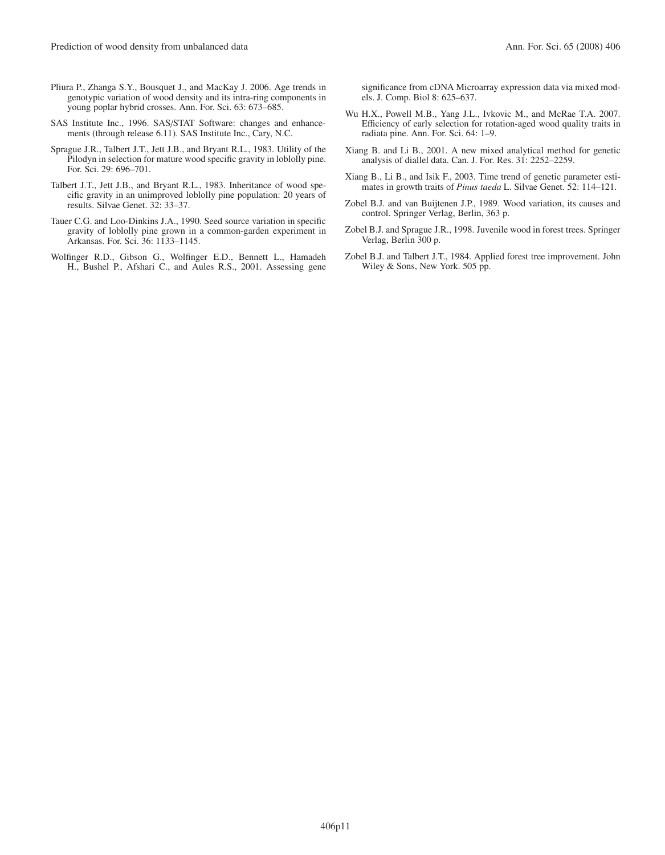- Pliura P., Zhanga S.Y., Bousquet J., and MacKay J. 2006. Age trends in genotypic variation of wood density and its intra-ring components in young poplar hybrid crosses. Ann. For. Sci. 63: 673–685.
- SAS Institute Inc., 1996. SAS/STAT Software: changes and enhancements (through release 6.11). SAS Institute Inc., Cary, N.C.
- Sprague J.R., Talbert J.T., Jett J.B., and Bryant R.L., 1983. Utility of the Pilodyn in selection for mature wood specific gravity in loblolly pine. For. Sci. 29: 696–701.
- Talbert J.T., Jett J.B., and Bryant R.L., 1983. Inheritance of wood specific gravity in an unimproved loblolly pine population: 20 years of results. Silvae Genet. 32: 33–37.
- Tauer C.G. and Loo-Dinkins J.A., 1990. Seed source variation in specific gravity of loblolly pine grown in a common-garden experiment in Arkansas. For. Sci. 36: 1133–1145.
- Wolfinger R.D., Gibson G., Wolfinger E.D., Bennett L., Hamadeh H., Bushel P., Afshari C., and Aules R.S., 2001. Assessing gene

significance from cDNA Microarray expression data via mixed models. J. Comp. Biol 8: 625–637.

- Wu H.X., Powell M.B., Yang J.L., Ivkovic M., and McRae T.A. 2007. Efficiency of early selection for rotation-aged wood quality traits in radiata pine. Ann. For. Sci. 64: 1–9.
- Xiang B. and Li B., 2001. A new mixed analytical method for genetic analysis of diallel data. Can. J. For. Res. 31: 2252–2259.
- Xiang B., Li B., and Isik F., 2003. Time trend of genetic parameter estimates in growth traits of *Pinus taeda* L. Silvae Genet. 52: 114–121.
- Zobel B.J. and van Buijtenen J.P., 1989. Wood variation, its causes and control. Springer Verlag, Berlin, 363 p.
- Zobel B.J. and Sprague J.R., 1998. Juvenile wood in forest trees. Springer Verlag, Berlin 300 p.
- Zobel B.J. and Talbert J.T., 1984. Applied forest tree improvement. John Wiley & Sons, New York. 505 pp.